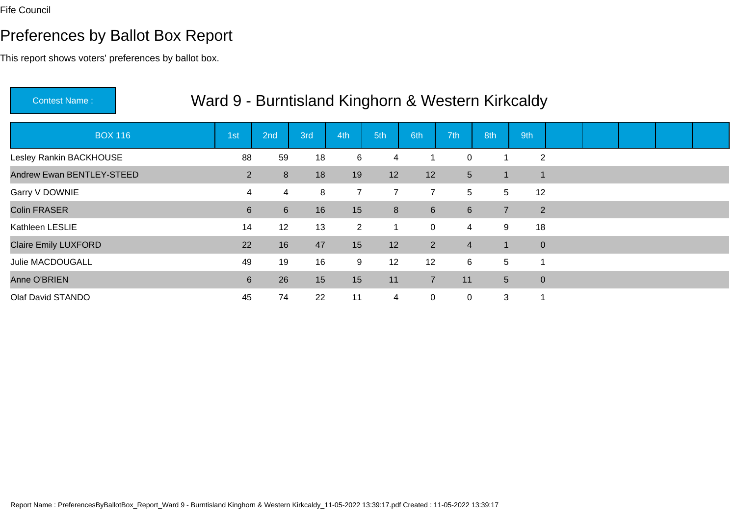# Preferences by Ballot Box Report

| <b>Contest Name:</b>        | Ward 9 - Burntisland Kinghorn & Western Kirkcaldy |             |     |                |                         |                |                |                |                |  |  |  |
|-----------------------------|---------------------------------------------------|-------------|-----|----------------|-------------------------|----------------|----------------|----------------|----------------|--|--|--|
| <b>BOX 116</b>              | 1st                                               | 2nd         | 3rd | 4th            | 5th                     | 6th            | 7th            | 8th            | 9th            |  |  |  |
| Lesley Rankin BACKHOUSE     | 88                                                | 59          | 18  | 6              | $\overline{\mathbf{4}}$ |                | 0              |                | $\overline{2}$ |  |  |  |
| Andrew Ewan BENTLEY-STEED   | $\overline{2}$                                    | 8           | 18  | 19             | 12                      | 12             | 5 <sup>5</sup> |                | $\overline{1}$ |  |  |  |
| Garry V DOWNIE              | 4                                                 | 4           | 8   | $\overline{7}$ | $\overline{7}$          | $\overline{7}$ | 5              | 5              | 12             |  |  |  |
| Colin FRASER                | $6 \overline{6}$                                  | $6^{\circ}$ | 16  | 15             | 8                       | $6\phantom{1}$ | 6              | $\overline{7}$ | 2              |  |  |  |
| Kathleen LESLIE             | 14                                                | 12          | 13  | $\overline{2}$ |                         | $\mathbf 0$    | 4              | 9              | 18             |  |  |  |
| <b>Claire Emily LUXFORD</b> | 22                                                | 16          | 47  | 15             | 12                      | $\overline{2}$ | $\overline{4}$ |                | $\pmb{0}$      |  |  |  |
| Julie MACDOUGALL            | 49                                                | 19          | 16  | 9              | 12                      | 12             | 6              | 5              | 1              |  |  |  |
| Anne O'BRIEN                | 6                                                 | 26          | 15  | 15             | 11                      | $\overline{7}$ | 11             | 5 <sup>5</sup> | $\mathbf 0$    |  |  |  |
| Olaf David STANDO           | 45                                                | 74          | 22  | 11             | $\overline{4}$          | $\mathbf 0$    | 0              | 3              | $\overline{1}$ |  |  |  |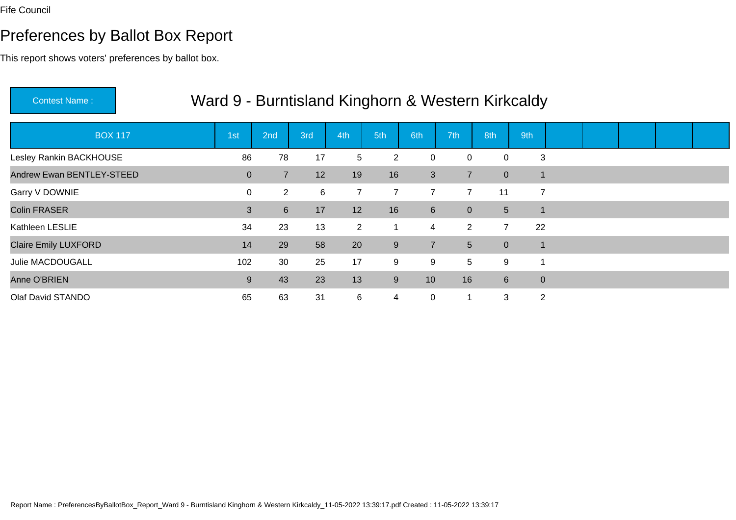# Preferences by Ballot Box Report

| <b>Contest Name:</b>        | Ward 9 - Burntisland Kinghorn & Western Kirkcaldy |                |                 |     |                |                |                |                |                |                          |  |  |  |
|-----------------------------|---------------------------------------------------|----------------|-----------------|-----|----------------|----------------|----------------|----------------|----------------|--------------------------|--|--|--|
| <b>BOX 117</b>              | 1st                                               |                | 2 <sub>nd</sub> | 3rd | 4th            | 5th            | 6th            | 7th            | 8th            | 9th                      |  |  |  |
| Lesley Rankin BACKHOUSE     |                                                   | 86             | 78              | 17  | 5              | $\overline{2}$ | $\mathbf 0$    | 0              | $\Omega$       | 3                        |  |  |  |
| Andrew Ewan BENTLEY-STEED   |                                                   | $\overline{0}$ | $\overline{7}$  | 12  | 19             | 16             | 3              | $\overline{7}$ | $\overline{0}$ | $\overline{1}$           |  |  |  |
| Garry V DOWNIE              |                                                   | $\mathbf 0$    | $\overline{2}$  | 6   | $\overline{7}$ | $\overline{7}$ | $\overline{7}$ | $\overline{7}$ | 11             | $\overline{7}$           |  |  |  |
| <b>Colin FRASER</b>         |                                                   | 3              | $6^{\circ}$     | 17  | 12             | 16             | $6\phantom{1}$ | $\overline{0}$ | 5 <sup>5</sup> | $\overline{1}$           |  |  |  |
| Kathleen LESLIE             |                                                   | 34             | 23              | 13  | $\overline{2}$ | 1              | $\overline{4}$ | $\overline{2}$ | $\overline{7}$ | 22                       |  |  |  |
| <b>Claire Emily LUXFORD</b> |                                                   | 14             | 29              | 58  | 20             | $9\,$          | $\overline{7}$ | 5 <sup>5</sup> | $\overline{0}$ | $\overline{\phantom{a}}$ |  |  |  |
| Julie MACDOUGALL            |                                                   | 102            | 30              | 25  | 17             | 9              | 9              | 5              | 9              | 1                        |  |  |  |
| Anne O'BRIEN                |                                                   | 9              | 43              | 23  | 13             | 9              | 10             | 16             | $6^{\circ}$    | $\pmb{0}$                |  |  |  |
| Olaf David STANDO           |                                                   | 65             | 63              | 31  | 6              | 4              | $\mathbf 0$    |                | 3              | $\overline{2}$           |  |  |  |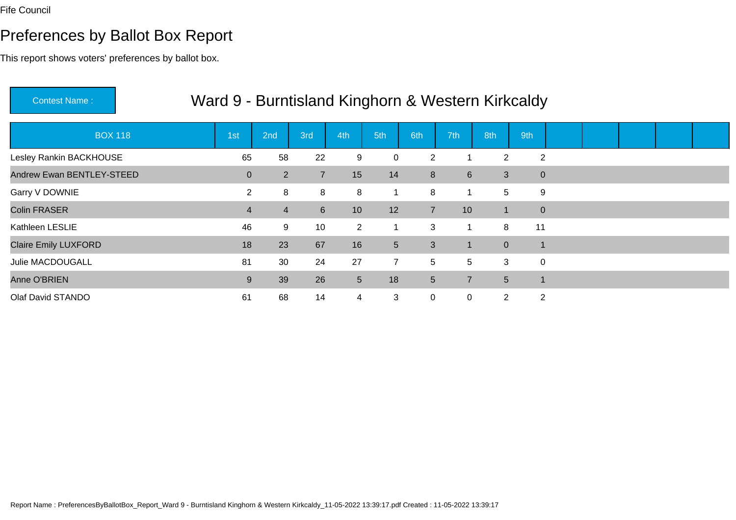# Preferences by Ballot Box Report

| <b>Contest Name:</b>        | Ward 9 - Burntisland Kinghorn & Western Kirkcaldy |                 |                 |                |                 |                 |                |                |                |  |  |  |
|-----------------------------|---------------------------------------------------|-----------------|-----------------|----------------|-----------------|-----------------|----------------|----------------|----------------|--|--|--|
| <b>BOX 118</b>              | 1st                                               | 2 <sub>nd</sub> | 3rd             | 4th            | 5th             | 6th             | 7th            | 8th            | 9th            |  |  |  |
| Lesley Rankin BACKHOUSE     | 65                                                | 58              | 22              | 9              | $\mathbf 0$     | $\overline{2}$  |                | $\overline{2}$ | $\overline{2}$ |  |  |  |
| Andrew Ewan BENTLEY-STEED   | $\overline{0}$                                    | $\overline{2}$  | $\overline{7}$  | 15             | 14              | 8               | 6              | 3              | $\mathbf 0$    |  |  |  |
| Garry V DOWNIE              | $\overline{2}$                                    | 8               | 8               | 8              | $\mathbf{1}$    | 8               |                | 5              | 9              |  |  |  |
| <b>Colin FRASER</b>         | $\overline{4}$                                    | $\overline{4}$  | 6 <sup>1</sup>  | 10             | 12              | $\overline{7}$  | 10             | ฯ∖             | $\mathbf 0$    |  |  |  |
| Kathleen LESLIE             | 46                                                | 9               | 10 <sup>°</sup> | $\overline{2}$ | 1               | 3               |                | 8              | 11             |  |  |  |
| <b>Claire Emily LUXFORD</b> | 18                                                | 23              | 67              | 16             | $5\overline{)}$ | 3               |                | $\overline{0}$ |                |  |  |  |
| Julie MACDOUGALL            | 81                                                | 30              | 24              | 27             | $\overline{7}$  | 5               | 5              | 3              | $\mathbf 0$    |  |  |  |
| Anne O'BRIEN                | 9                                                 | 39              | 26              | $5\phantom{.}$ | 18              | $5\phantom{.0}$ | $\overline{7}$ | 5 <sup>5</sup> |                |  |  |  |
| Olaf David STANDO           | 61                                                | 68              | 14              | 4              | 3               | $\mathbf 0$     | 0              | $\overline{2}$ | 2              |  |  |  |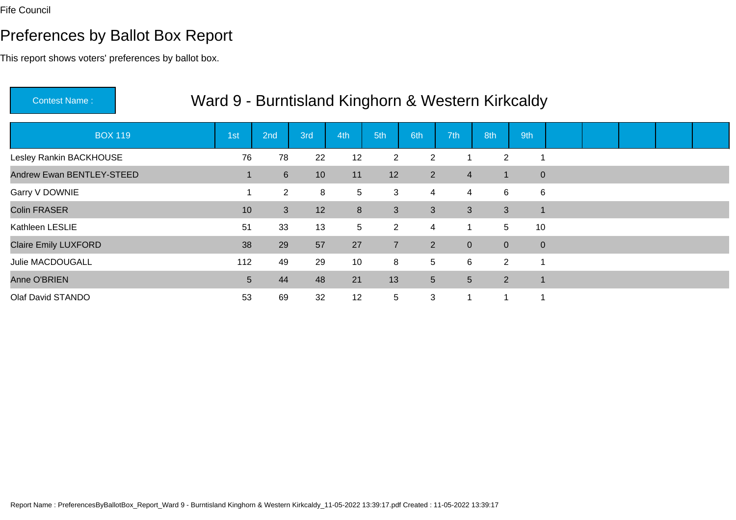# Preferences by Ballot Box Report

| <b>Contest Name:</b>        | Ward 9 - Burntisland Kinghorn & Western Kirkcaldy |                 |                 |                 |                |                |                |                      |              |  |  |  |
|-----------------------------|---------------------------------------------------|-----------------|-----------------|-----------------|----------------|----------------|----------------|----------------------|--------------|--|--|--|
| <b>BOX 119</b>              | 1st                                               | 2 <sub>nd</sub> | 3rd             | 4th             | 5th            | 6th            | 7th            | 8th                  | 9th          |  |  |  |
| Lesley Rankin BACKHOUSE     | 76                                                | 78              | 22              | 12              | $\overline{2}$ | 2              |                | $\overline{2}$       |              |  |  |  |
| Andrew Ewan BENTLEY-STEED   |                                                   | $6^{\circ}$     | 10 <sup>°</sup> | 11              | 12             | $2^{\circ}$    | 4              |                      | $\mathbf{0}$ |  |  |  |
| Garry V DOWNIE              |                                                   | $\overline{2}$  | 8               | 5               | 3              | 4              | 4              | 6                    | 6            |  |  |  |
| <b>Colin FRASER</b>         | 10                                                | 3 <sup>1</sup>  | 12              | 8               | 3              | 3              | 3              | 3                    | $\mathbf{1}$ |  |  |  |
| Kathleen LESLIE             | 51                                                | 33              | 13              | $5\phantom{.0}$ | $\overline{2}$ | $\overline{4}$ | 1              | 5                    | 10           |  |  |  |
| <b>Claire Emily LUXFORD</b> | 38                                                | 29              | 57              | 27              | $\overline{7}$ | $2^{\circ}$    | $\overline{0}$ | $\overline{0}$       | $\mathbf{0}$ |  |  |  |
| Julie MACDOUGALL            | 112                                               | 49              | 29              | 10              | 8              | 5              | 6              | $\mathbf{2}^{\circ}$ |              |  |  |  |
| Anne O'BRIEN                | 5                                                 | 44              | 48              | 21              | 13             | 5 <sup>5</sup> | 5              | $\overline{2}$       | $\mathbf 1$  |  |  |  |
| Olaf David STANDO           | 53                                                | 69              | 32              | 12              | 5              | 3              | $\mathbf 1$    | 1                    |              |  |  |  |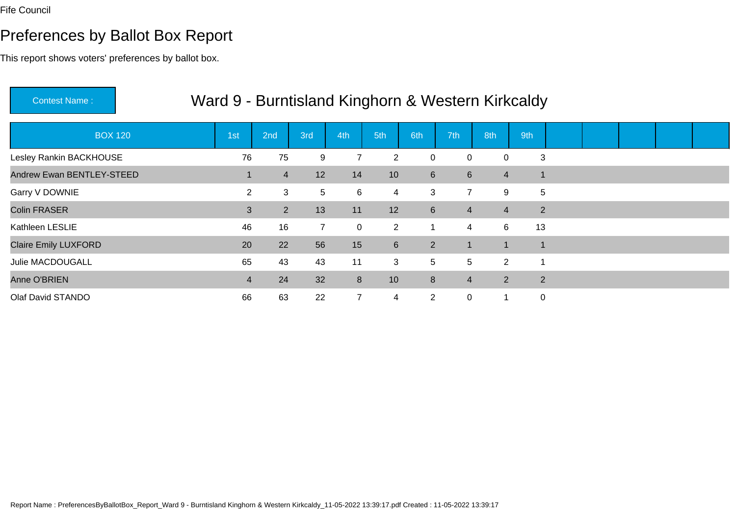# Preferences by Ballot Box Report

| <b>Contest Name:</b>        | Ward 9 - Burntisland Kinghorn & Western Kirkcaldy |                |             |                |                  |                 |                |                |                |  |  |  |
|-----------------------------|---------------------------------------------------|----------------|-------------|----------------|------------------|-----------------|----------------|----------------|----------------|--|--|--|
| <b>BOX 120</b>              | 1 <sub>st</sub>                                   | 2nd            | 3rd         | 4th            | 5th              | 6th             | 7th            | 8th            | 9th            |  |  |  |
| Lesley Rankin BACKHOUSE     | 76                                                | 75             | 9           | $\overline{7}$ | $\overline{2}$   | $\mathbf 0$     | 0              | $\Omega$       | 3              |  |  |  |
| Andrew Ewan BENTLEY-STEED   |                                                   | $\overline{4}$ | 12          | 14             | 10               | $6\phantom{1}$  | 6              | $\overline{4}$ | 1              |  |  |  |
| Garry V DOWNIE              | $\overline{2}$                                    | 3              | 5           | 6              | $\overline{4}$   | 3               | $\overline{7}$ | 9              | 5              |  |  |  |
| Colin FRASER                | 3                                                 | 2 <sup>1</sup> | 13          | 11             | 12               | $6\overline{6}$ | 4              | $\overline{4}$ | $\overline{2}$ |  |  |  |
| Kathleen LESLIE             | 46                                                | 16             | $7^{\circ}$ | 0              | $\overline{2}$   | $\mathbf 1$     | 4              | 6              | 13             |  |  |  |
| <b>Claire Emily LUXFORD</b> | 20                                                | 22             | 56          | 15             | $6 \overline{6}$ | 2               |                |                | $\mathbf 1$    |  |  |  |
| Julie MACDOUGALL            | 65                                                | 43             | 43          | 11             | 3                | 5               | 5              | $\overline{2}$ | -1             |  |  |  |
| Anne O'BRIEN                | $\overline{4}$                                    | 24             | 32          | 8              | 10               | 8               | $\overline{4}$ | $\overline{2}$ | $\overline{2}$ |  |  |  |
| Olaf David STANDO           | 66                                                | 63             | 22          | $\overline{7}$ | 4                | $\overline{2}$  | 0              | 1              | $\mathbf 0$    |  |  |  |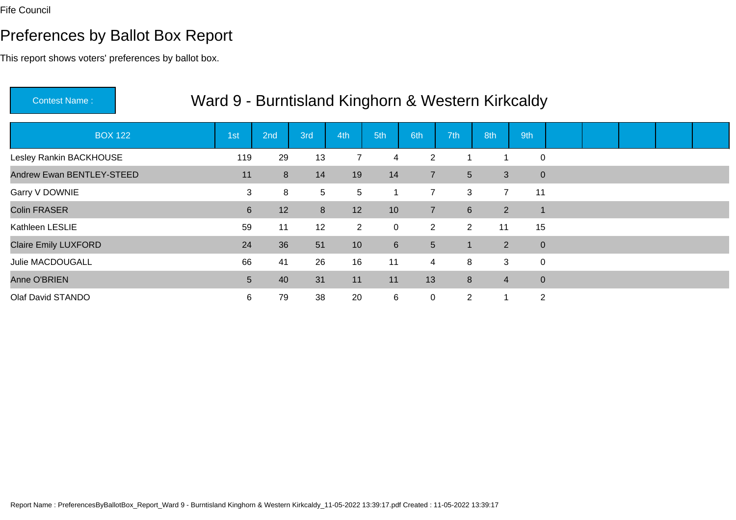# Preferences by Ballot Box Report

| <b>Contest Name:</b>        |                |                 |     |                |                |                 |                | Ward 9 - Burntisland Kinghorn & Western Kirkcaldy |                |  |  |  |
|-----------------------------|----------------|-----------------|-----|----------------|----------------|-----------------|----------------|---------------------------------------------------|----------------|--|--|--|
| <b>BOX 122</b>              | 1st            | 2 <sub>nd</sub> | 3rd | 4th            | 5th            | 6th             | 7th            | 8th                                               | 9th            |  |  |  |
| Lesley Rankin BACKHOUSE     | 119            | 29              | 13  | $\overline{7}$ | 4              | 2               |                |                                                   | $\mathbf 0$    |  |  |  |
| Andrew Ewan BENTLEY-STEED   | 11             | 8               | 14  | 19             | 14             | $\overline{7}$  | 5 <sup>5</sup> | 3                                                 | $\mathbf{0}$   |  |  |  |
| Garry V DOWNIE              | 3              | 8               | 5   | 5              |                | $\overline{7}$  | 3              | $\overline{7}$                                    | 11             |  |  |  |
| <b>Colin FRASER</b>         | $6\phantom{1}$ | 12              | 8   | 12             | 10             | $\overline{7}$  | 6 <sup>1</sup> | $\overline{2}$                                    | $\overline{1}$ |  |  |  |
| Kathleen LESLIE             | 59             | 11              | 12  | $\overline{2}$ | 0              | $\overline{2}$  | $\overline{2}$ | 11                                                | 15             |  |  |  |
| <b>Claire Emily LUXFORD</b> | 24             | 36              | 51  | 10             | $6\phantom{1}$ | $5\phantom{.0}$ | 1              | $2^{\circ}$                                       | $\mathbf{0}$   |  |  |  |
| Julie MACDOUGALL            | 66             | 41              | 26  | 16             | 11             | $\overline{4}$  | 8              | 3                                                 | $\mathbf 0$    |  |  |  |
| Anne O'BRIEN                | 5              | 40              | 31  | 11             | 11             | 13              | 8              | $\overline{4}$                                    | $\mathbf{0}$   |  |  |  |
| Olaf David STANDO           | 6              | 79              | 38  | 20             | 6              | 0               | $\overline{2}$ | 1                                                 | 2              |  |  |  |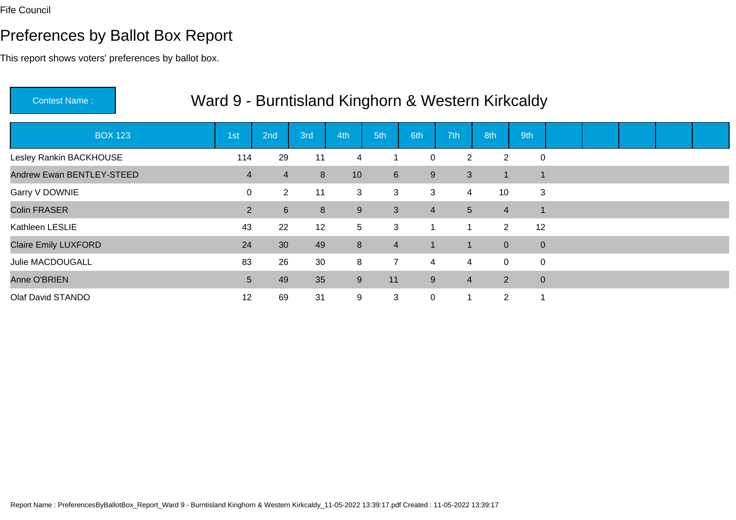# Preferences by Ballot Box Report

| <b>Contest Name:</b>        | Ward 9 - Burntisland Kinghorn & Western Kirkcaldy |                |                 |     |                |                |                |                |                  |  |  |  |
|-----------------------------|---------------------------------------------------|----------------|-----------------|-----|----------------|----------------|----------------|----------------|------------------|--|--|--|
| <b>BOX 123</b>              | 1 <sub>st</sub>                                   | 2nd            | 3rd             | 4th | 5th            | 6th            | 7th            | 8th            | 9th              |  |  |  |
| Lesley Rankin BACKHOUSE     | 114                                               | 29             | 11              | 4   |                | $\mathbf 0$    | $\overline{2}$ | 2              | $\mathbf 0$      |  |  |  |
| Andrew Ewan BENTLEY-STEED   | 4                                                 | 4              | 8               | 10  | 6              | 9              | 3              |                | 1                |  |  |  |
| Garry V DOWNIE              | 0                                                 | $\overline{2}$ | 11              | 3   | 3              | 3              | 4              | 10             | 3                |  |  |  |
| Colin FRASER                | $\overline{2}$                                    | 6              | 8               | 9   | $\mathbf{3}$   | $\overline{4}$ | 5              | $\overline{4}$ | $\overline{1}$   |  |  |  |
| Kathleen LESLIE             | 43                                                | 22             | 12 <sup>2</sup> | 5   | 3              | $\mathbf 1$    |                | $\overline{2}$ | 12               |  |  |  |
| <b>Claire Emily LUXFORD</b> | 24                                                | 30             | 49              | 8   | $\overline{4}$ | $\mathbf{1}$   |                | $\overline{0}$ | $\pmb{0}$        |  |  |  |
| Julie MACDOUGALL            | 83                                                | 26             | 30              | 8   | $\overline{7}$ | 4              | 4              | $\mathbf 0$    | $\mathbf 0$      |  |  |  |
| Anne O'BRIEN                | 5                                                 | 49             | 35              | 9   | 11             | 9              | $\overline{4}$ | $2^{\circ}$    | $\boldsymbol{0}$ |  |  |  |
| Olaf David STANDO           | 12                                                | 69             | 31              | 9   | 3              | $\mathbf 0$    |                | $\overline{2}$ | -1               |  |  |  |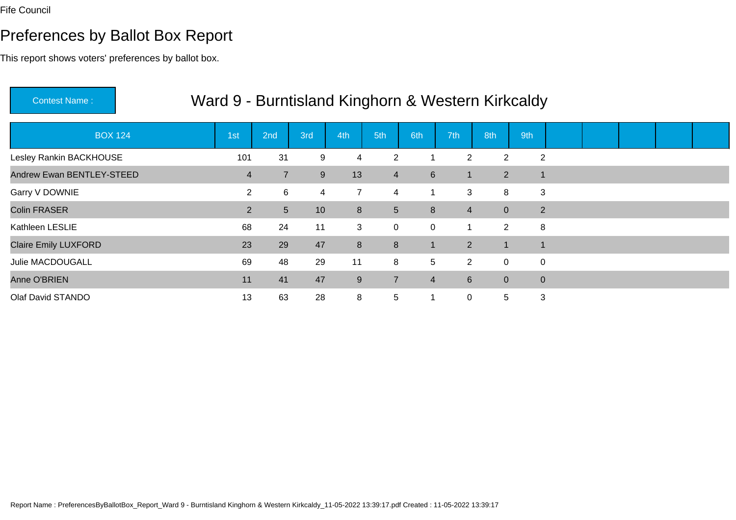# Preferences by Ballot Box Report

| <b>Contest Name:</b>        | Ward 9 - Burntisland Kinghorn & Western Kirkcaldy |                |     |                |                |                |                |                |                |  |  |  |
|-----------------------------|---------------------------------------------------|----------------|-----|----------------|----------------|----------------|----------------|----------------|----------------|--|--|--|
| <b>BOX 124</b>              | 1st                                               | 2nd            | 3rd | 4th            | 5th            | 6th            | 7th            | 8th            | 9th            |  |  |  |
| Lesley Rankin BACKHOUSE     | 101                                               | 31             | 9   | 4              | $\overline{2}$ |                | $\overline{2}$ | 2              | $\overline{2}$ |  |  |  |
| Andrew Ewan BENTLEY-STEED   | 4                                                 | $\overline{7}$ | 9   | 13             | $\overline{4}$ | $6\phantom{1}$ | $\mathbf{1}$   | $2^{\circ}$    | 1              |  |  |  |
| Garry V DOWNIE              | $\overline{2}$                                    | 6              | 4   | $\overline{7}$ | 4              |                | 3              | 8              | 3              |  |  |  |
| Colin FRASER                | $\overline{2}$                                    | 5              | 10  | 8              | 5 <sup>5</sup> | 8              | $\overline{4}$ | $\overline{0}$ | 2              |  |  |  |
| Kathleen LESLIE             | 68                                                | 24             | 11  | 3              | $\mathbf 0$    | $\mathbf 0$    |                | $\overline{2}$ | 8              |  |  |  |
| <b>Claire Emily LUXFORD</b> | 23                                                | 29             | 47  | 8              | 8              | $\mathbf{1}$   | $\overline{2}$ |                |                |  |  |  |
| Julie MACDOUGALL            | 69                                                | 48             | 29  | 11             | 8              | 5              | $\overline{2}$ | $\overline{0}$ | 0              |  |  |  |
| Anne O'BRIEN                | 11                                                | 41             | 47  | 9              | $\overline{7}$ | $\overline{4}$ | 6              | $\overline{0}$ | $\mathbf 0$    |  |  |  |
| Olaf David STANDO           | 13                                                | 63             | 28  | 8              | 5              |                | 0              | 5              | 3              |  |  |  |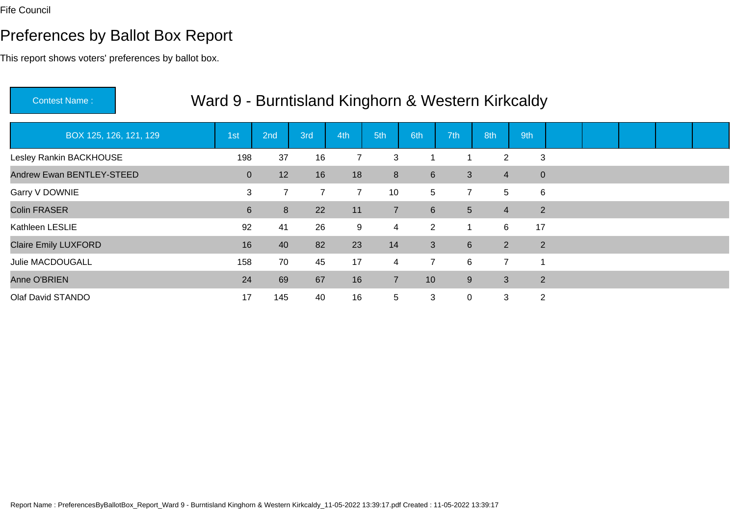# Preferences by Ballot Box Report

| <b>Contest Name:</b>        | Ward 9 - Burntisland Kinghorn & Western Kirkcaldy |                |                |                |                |                 |                 |                |     |                |  |  |
|-----------------------------|---------------------------------------------------|----------------|----------------|----------------|----------------|-----------------|-----------------|----------------|-----|----------------|--|--|
| BOX 125, 126, 121, 129      | 1st                                               | 2nd            | 3rd            | 4th            | 5th            | 6th             | 7th             | 8th            | 9th |                |  |  |
| Lesley Rankin BACKHOUSE     | 198                                               | 37             | 16             | $\overline{7}$ | 3              |                 |                 | $\overline{2}$ |     | 3              |  |  |
| Andrew Ewan BENTLEY-STEED   | $\mathbf{0}$                                      | 12             | 16             | 18             | 8              | $6\phantom{1}$  | 3               | $\overline{4}$ |     | $\pmb{0}$      |  |  |
| Garry V DOWNIE              | 3                                                 | $\overline{7}$ | $\overline{7}$ | $\overline{7}$ | 10             | $5\overline{)}$ | $\overline{7}$  | 5              |     | 6              |  |  |
| <b>Colin FRASER</b>         | $6\phantom{1}$                                    | 8              | 22             | 11             | $\overline{7}$ | $6\phantom{1}$  | $5\phantom{.0}$ | $\overline{4}$ |     | 2              |  |  |
| Kathleen LESLIE             | 92                                                | 41             | 26             | 9              | $\overline{4}$ | $\overline{2}$  | 1               | 6              | 17  |                |  |  |
| <b>Claire Emily LUXFORD</b> | 16                                                | 40             | 82             | 23             | 14             | 3               | 6               | $\overline{2}$ |     | 2              |  |  |
| <b>Julie MACDOUGALL</b>     | 158                                               | 70             | 45             | 17             | $\overline{4}$ | $\overline{7}$  | 6               | $\overline{7}$ |     |                |  |  |
| Anne O'BRIEN                | 24                                                | 69             | 67             | 16             | $\overline{7}$ | 10              | 9               | 3              |     | 2              |  |  |
| Olaf David STANDO           | 17                                                | 145            | 40             | 16             | $\sqrt{5}$     | 3               | 0               | 3              |     | $\overline{2}$ |  |  |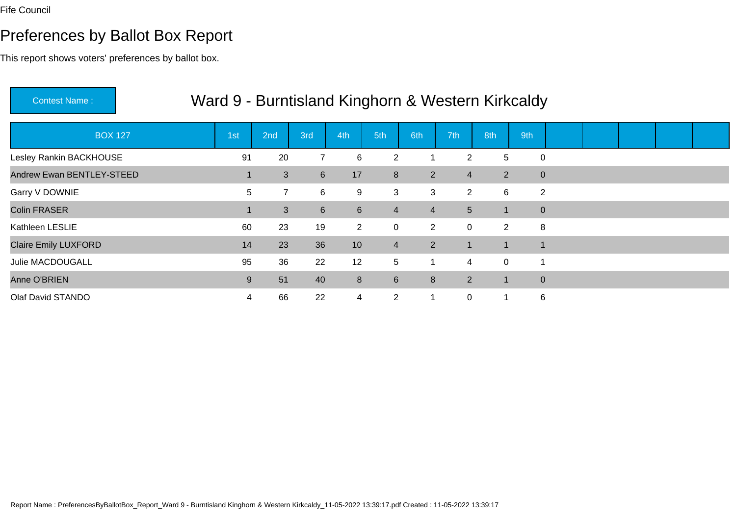# Preferences by Ballot Box Report

| <b>Contest Name:</b>        | Ward 9 - Burntisland Kinghorn & Western Kirkcaldy |                |                |                 |                |                |                 |                      |                |  |  |  |
|-----------------------------|---------------------------------------------------|----------------|----------------|-----------------|----------------|----------------|-----------------|----------------------|----------------|--|--|--|
| <b>BOX 127</b>              | 1st                                               | 2nd            | 3rd            | 4th             | 5th            | 6th            | 7 <sup>th</sup> | 8th                  | 9th            |  |  |  |
| Lesley Rankin BACKHOUSE     | 91                                                | 20             | $\overline{7}$ | 6               | $\overline{2}$ |                | $\overline{2}$  | 5                    | 0              |  |  |  |
| Andrew Ewan BENTLEY-STEED   |                                                   | 3              | 6 <sup>1</sup> | 17              | 8              | $\overline{2}$ | $\overline{4}$  | $\overline{2}$       | $\pmb{0}$      |  |  |  |
| Garry V DOWNIE              | 5                                                 | $\overline{7}$ | 6              | 9               | 3              | 3              | $\overline{2}$  | $6^{\circ}$          | $\overline{2}$ |  |  |  |
| <b>Colin FRASER</b>         |                                                   | 3              | 6 <sup>1</sup> | $6\overline{6}$ | $\overline{4}$ | $\overline{4}$ | 5 <sup>5</sup>  |                      | $\mathbf 0$    |  |  |  |
| Kathleen LESLIE             | 60                                                | 23             | 19             | $\overline{2}$  | $\mathbf 0$    | $\overline{2}$ | 0               | $\overline{2}$       | 8              |  |  |  |
| <b>Claire Emily LUXFORD</b> | 14                                                | 23             | 36             | 10 <sup>°</sup> | $\overline{4}$ | 2 <sup>1</sup> | $\mathbf 1$     | $\blacktriangledown$ | 1              |  |  |  |
| Julie MACDOUGALL            | 95                                                | 36             | 22             | 12              | 5              | 1              | 4               | $\overline{0}$       | 1              |  |  |  |
| Anne O'BRIEN                | 9                                                 | 51             | 40             | 8               | $6\phantom{1}$ | 8              | $\overline{2}$  | $\mathbf 1$          | $\mathbf 0$    |  |  |  |
| Olaf David STANDO           | 4                                                 | 66             | 22             | 4               | $\overline{2}$ |                | 0               | 1                    | 6              |  |  |  |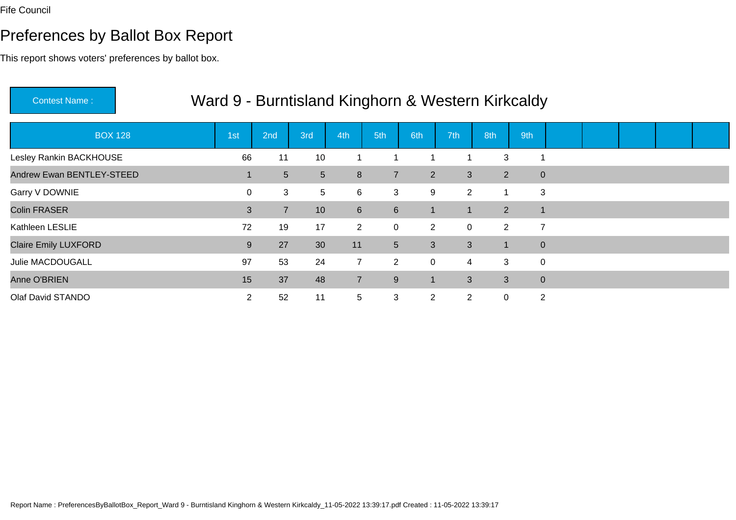# Preferences by Ballot Box Report

| <b>Contest Name:</b>        | Ward 9 - Burntisland Kinghorn & Western Kirkcaldy |                 |                 |                 |                 |                |                |                |                |  |  |  |
|-----------------------------|---------------------------------------------------|-----------------|-----------------|-----------------|-----------------|----------------|----------------|----------------|----------------|--|--|--|
| <b>BOX 128</b>              | 1st                                               | 2 <sub>nd</sub> | 3rd             | 4th             | 5th             | 6th            | 7th            | 8th            | 9th            |  |  |  |
| Lesley Rankin BACKHOUSE     | 66                                                | 11              | 10              |                 |                 |                |                | 3              | 1              |  |  |  |
| Andrew Ewan BENTLEY-STEED   |                                                   | 5               | 5 <sup>5</sup>  | 8               | $\overline{7}$  | $2^{\circ}$    | 3              | $\overline{2}$ | $\mathbf 0$    |  |  |  |
| Garry V DOWNIE              | 0                                                 | 3               | 5 <sup>5</sup>  | 6               | 3               | 9              | $\overline{2}$ | $\overline{1}$ | 3              |  |  |  |
| <b>Colin FRASER</b>         | 3                                                 | $\overline{7}$  | 10 <sup>°</sup> | $6\overline{6}$ | $6\phantom{1}$  | $\mathbf{1}$   | 1              | $\overline{2}$ | $\overline{1}$ |  |  |  |
| Kathleen LESLIE             | 72                                                | 19              | 17              | $\overline{2}$  | $\mathbf 0$     | 2              | 0              | $\overline{2}$ | $\overline{7}$ |  |  |  |
| <b>Claire Emily LUXFORD</b> | 9                                                 | 27              | 30              | 11              | $5\overline{)}$ | 3              | 3              |                | $\pmb{0}$      |  |  |  |
| Julie MACDOUGALL            | 97                                                | 53              | 24              | $\overline{7}$  | $\overline{2}$  | $\mathbf 0$    | 4              | 3              | $\mathbf 0$    |  |  |  |
| Anne O'BRIEN                | 15                                                | 37              | 48              | $\overline{7}$  | 9               | 1              | 3              | 3              | $\pmb{0}$      |  |  |  |
| Olaf David STANDO           | $\overline{2}$                                    | 52              | 11              | 5               | 3               | $\overline{2}$ | $\overline{2}$ | $\mathbf{0}$   | 2              |  |  |  |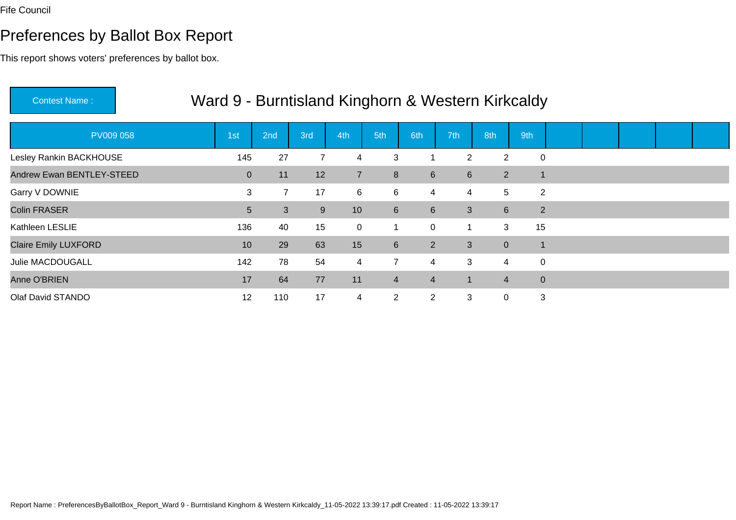# Preferences by Ballot Box Report

This report shows voters' preferences by ballot box.

| <b>Contest Name:</b>        |                 |                |     |                |                  |                  |                |                 | Ward 9 - Burntisland Kinghorn & Western Kirkcaldy |  |  |  |
|-----------------------------|-----------------|----------------|-----|----------------|------------------|------------------|----------------|-----------------|---------------------------------------------------|--|--|--|
| <b>PV009 058</b>            | 1st             | 2nd            | 3rd | 4th            | 5th              | 6th              | 7th            | 8th             | 9th                                               |  |  |  |
| Lesley Rankin BACKHOUSE     | 145             | 27             |     | 4              | 3                |                  | $\overline{2}$ | $\overline{2}$  | $\mathbf 0$                                       |  |  |  |
| Andrew Ewan BENTLEY-STEED   | $\overline{0}$  | 11             | 12  | $\overline{7}$ | 8                | $6 \overline{6}$ | 6              | $2^{\circ}$     | $\mathbf{1}$                                      |  |  |  |
| Garry V DOWNIE              | 3               | $\overline{7}$ | 17  | 6              | 6                | 4                | 4              | $5\overline{)}$ | 2                                                 |  |  |  |
| <b>Colin FRASER</b>         | 5               | 3              | 9   | 10             | $6 \overline{6}$ | $6\overline{6}$  | 3              | 6 <sup>1</sup>  | 2                                                 |  |  |  |
| Kathleen LESLIE             | 136             | 40             | 15  | $\mathbf 0$    |                  | $\mathbf 0$      |                | 3               | 15                                                |  |  |  |
| <b>Claire Emily LUXFORD</b> | 10 <sup>°</sup> | 29             | 63  | 15             | $6 \overline{6}$ | $2^{\circ}$      | 3              | $\overline{0}$  | $\mathbf{1}$                                      |  |  |  |
| Julie MACDOUGALL            | 142             | 78             | 54  | 4              | $\overline{7}$   | $\overline{4}$   | 3              | $\overline{4}$  | 0                                                 |  |  |  |
| Anne O'BRIEN                | 17              | 64             | 77  | 11             | $\overline{4}$   | $\overline{4}$   | 1              | $\overline{4}$  | $\mathbf{0}$                                      |  |  |  |
| Olaf David STANDO           | 12              | 110            | 17  | $\overline{4}$ | $\overline{2}$   | $\overline{2}$   | 3              | 0               | 3                                                 |  |  |  |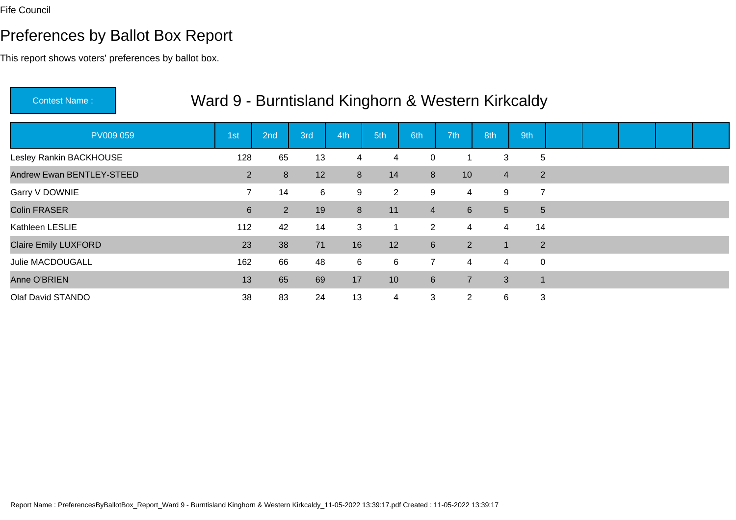# Preferences by Ballot Box Report

| Ward 9 - Burntisland Kinghorn & Western Kirkcaldy<br><b>Contest Name:</b> |                 |                |     |     |                |                |                |                |                |  |  |  |  |  |
|---------------------------------------------------------------------------|-----------------|----------------|-----|-----|----------------|----------------|----------------|----------------|----------------|--|--|--|--|--|
| PV009 059                                                                 | 1 <sub>st</sub> | 2nd            | 3rd | 4th | 5th            | 6th            | 7th            | 8th            | 9th            |  |  |  |  |  |
| Lesley Rankin BACKHOUSE                                                   | 128             | 65             | 13  | 4   | 4              | $\mathbf 0$    |                | 3              | 5              |  |  |  |  |  |
| Andrew Ewan BENTLEY-STEED                                                 | 2               | 8              | 12  | 8   | 14             | 8              | 10             | $\overline{4}$ | $\overline{2}$ |  |  |  |  |  |
| Garry V DOWNIE                                                            | $\overline{7}$  | 14             | 6   | 9   | $\overline{2}$ | 9              | 4              | 9              | 7              |  |  |  |  |  |
| <b>Colin FRASER</b>                                                       | $6\overline{6}$ | $\overline{2}$ | 19  | 8   | 11             | $\overline{4}$ | 6 <sup>1</sup> | 5 <sup>5</sup> | $5\phantom{.}$ |  |  |  |  |  |
| Kathleen LESLIE                                                           | 112             | 42             | 14  | 3   |                | $\overline{2}$ | 4              | 4              | 14             |  |  |  |  |  |
| <b>Claire Emily LUXFORD</b>                                               | 23              | 38             | 71  | 16  | 12             | $6\phantom{1}$ | $2^{\circ}$    |                | $\overline{2}$ |  |  |  |  |  |
| Julie MACDOUGALL                                                          | 162             | 66             | 48  | 6   | 6              | $\overline{7}$ | 4              | $\overline{4}$ | 0              |  |  |  |  |  |
| Anne O'BRIEN                                                              | 13              | 65             | 69  | 17  | 10             | 6              | $\overline{7}$ | 3              | $\mathbf 1$    |  |  |  |  |  |
| Olaf David STANDO                                                         | 38              | 83             | 24  | 13  | 4              | 3              | $\overline{2}$ | 6              | 3              |  |  |  |  |  |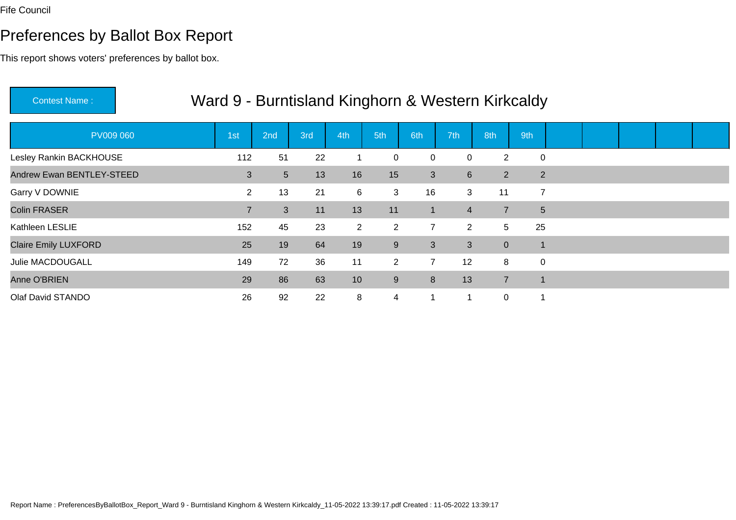# Preferences by Ballot Box Report

| Ward 9 - Burntisland Kinghorn & Western Kirkcaldy<br><b>Contest Name:</b> |  |                |     |     |                |                |                |                 |                |                |  |  |  |  |  |
|---------------------------------------------------------------------------|--|----------------|-----|-----|----------------|----------------|----------------|-----------------|----------------|----------------|--|--|--|--|--|
| PV009 060                                                                 |  | 1st            | 2nd | 3rd | 4th            | 5th            | 6th            | 7 <sup>th</sup> | 8th            | 9th            |  |  |  |  |  |
| Lesley Rankin BACKHOUSE                                                   |  | 112            | 51  | 22  |                | $\mathbf 0$    | $\mathbf 0$    | 0               | $\overline{2}$ | 0              |  |  |  |  |  |
| Andrew Ewan BENTLEY-STEED                                                 |  | 3              | 5   | 13  | 16             | 15             | 3              | 6               | $2^{\circ}$    | 2              |  |  |  |  |  |
| Garry V DOWNIE                                                            |  | $\overline{2}$ | 13  | 21  | 6              | 3              | 16             | 3               | 11             | $\overline{7}$ |  |  |  |  |  |
| <b>Colin FRASER</b>                                                       |  | $\overline{7}$ | 3   | 11  | 13             | 11             | $\mathbf{1}$   | $\overline{4}$  | $\overline{7}$ | 5 <sup>5</sup> |  |  |  |  |  |
| Kathleen LESLIE                                                           |  | 152            | 45  | 23  | $\overline{2}$ | $\overline{2}$ | $\overline{7}$ | $\overline{2}$  | 5              | 25             |  |  |  |  |  |
| <b>Claire Emily LUXFORD</b>                                               |  | 25             | 19  | 64  | 19             | $9\,$          | $\mathbf{3}$   | 3               | $\overline{0}$ | -1             |  |  |  |  |  |
| Julie MACDOUGALL                                                          |  | 149            | 72  | 36  | 11             | $\overline{2}$ | $\overline{7}$ | 12              | 8              | $\mathbf 0$    |  |  |  |  |  |
| Anne O'BRIEN                                                              |  | 29             | 86  | 63  | 10             | 9              | 8              | 13              | $\overline{7}$ | -1             |  |  |  |  |  |
| Olaf David STANDO                                                         |  | 26             | 92  | 22  | 8              | 4              | 1              | 1               | $\overline{0}$ |                |  |  |  |  |  |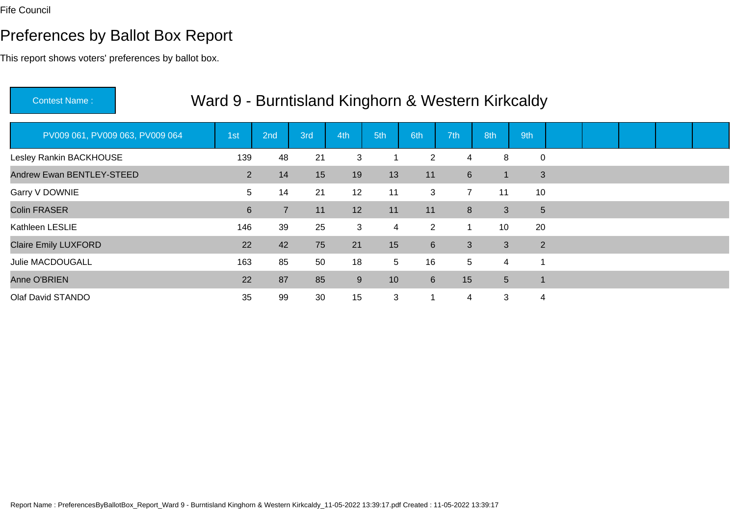# Preferences by Ballot Box Report

| <b>Contest Name:</b>            | Ward 9 - Burntisland Kinghorn & Western Kirkcaldy |                |     |     |     |                |                 |                |                |  |  |  |  |  |  |
|---------------------------------|---------------------------------------------------|----------------|-----|-----|-----|----------------|-----------------|----------------|----------------|--|--|--|--|--|--|
| PV009 061, PV009 063, PV009 064 | 1st                                               | 2nd            | 3rd | 4th | 5th | 6th            | 7 <sup>th</sup> | 8th            | 9th            |  |  |  |  |  |  |
| Lesley Rankin BACKHOUSE         | 139                                               | 48             | 21  | 3   |     | $\overline{2}$ | 4               | 8              | $\mathbf 0$    |  |  |  |  |  |  |
| Andrew Ewan BENTLEY-STEED       | $\overline{2}$                                    | 14             | 15  | 19  | 13  | 11             | 6               |                | 3              |  |  |  |  |  |  |
| Garry V DOWNIE                  | 5                                                 | 14             | 21  | 12  | 11  | 3              | $\overline{7}$  | 11             | 10             |  |  |  |  |  |  |
| <b>Colin FRASER</b>             | $6\phantom{1}$                                    | $\overline{7}$ | 11  | 12  | 11  | 11             | 8               | 3              | 5              |  |  |  |  |  |  |
| Kathleen LESLIE                 | 146                                               | 39             | 25  | 3   | 4   | $\overline{2}$ | 1               | 10             | 20             |  |  |  |  |  |  |
| <b>Claire Emily LUXFORD</b>     | 22                                                | 42             | 75  | 21  | 15  | $6\phantom{1}$ | 3               | 3              | $\overline{2}$ |  |  |  |  |  |  |
| <b>Julie MACDOUGALL</b>         | 163                                               | 85             | 50  | 18  | 5   | 16             | 5               | 4              |                |  |  |  |  |  |  |
| Anne O'BRIEN                    | 22                                                | 87             | 85  | 9   | 10  | 6              | 15              | 5 <sup>5</sup> |                |  |  |  |  |  |  |
| Olaf David STANDO               | 35                                                | 99             | 30  | 15  | 3   | 1              | 4               | 3              | 4              |  |  |  |  |  |  |